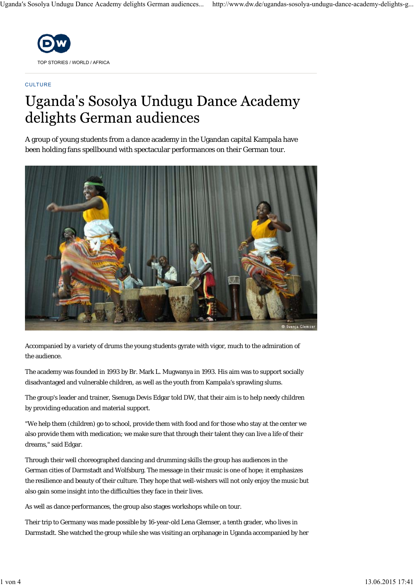

#### **CULTURE**

# Uganda's Sosolya Undugu Dance Academy delights German audiences

A group of young students from a dance academy in the Ugandan capital Kampala have been holding fans spellbound with spectacular performances on their German tour.



Accompanied by a variety of drums the young students gyrate with vigor, much to the admiration of the audience.

The academy was founded in 1993 by Br. Mark L. Mugwanya in 1993. His aim was to support socially disadvantaged and vulnerable children, as well as the youth from Kampala's sprawling slums.

The group's leader and trainer, Ssenuga Devis Edgar told DW, that their aim is to help needy children by providing education and material support.

"We help them (children) go to school, provide them with food and for those who stay at the center we also provide them with medication; we make sure that through their talent they can live a life of their dreams," said Edgar.

Through their well choreographed dancing and drumming skills the group has audiences in the German cities of Darmstadt and Wolfsburg. The message in their music is one of hope; it emphasizes the resilience and beauty of their culture. They hope that well-wishers will not only enjoy the music but also gain some insight into the difficulties they face in their lives.

As well as dance performances, the group also stages workshops while on tour.

Their trip to Germany was made possible by 16-year-old Lena Glemser, a tenth grader, who lives in Darmstadt. She watched the group while she was visiting an orphanage in Uganda accompanied by her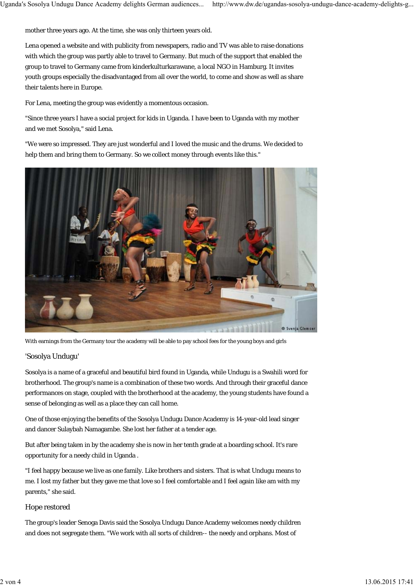mother three years ago. At the time, she was only thirteen years old.

Lena opened a website and with publicity from newspapers, radio and TV was able to raise donations with which the group was partly able to travel to Germany. But much of the support that enabled the group to travel to Germany came from kinderkulturkarawane, a local NGO in Hamburg. It invites youth groups especially the disadvantaged from all over the world, to come and show as well as share their talents here in Europe.

For Lena, meeting the group was evidently a momentous occasion.

"Since three years I have a social project for kids in Uganda. I have been to Uganda with my mother and we met Sosolya," said Lena.

"We were so impressed. They are just wonderful and I loved the music and the drums. We decided to help them and bring them to Germany. So we collect money through events like this."



With earnings from the Germany tour the academy will be able to pay school fees for the young boys and girls

### 'Sosolya Undugu'

Sosolya is a name of a graceful and beautiful bird found in Uganda, while Undugu is a Swahili word for brotherhood. The group's name is a combination of these two words. And through their graceful dance performances on stage, coupled with the brotherhood at the academy, the young students have found a sense of belonging as well as a place they can call home.

One of those enjoying the benefits of the Sosolya Undugu Dance Academy is 14-year-old lead singer and dancer Sulaybah Namagambe. She lost her father at a tender age.

But after being taken in by the academy she is now in her tenth grade at a boarding school. It's rare opportunity for a needy child in Uganda .

"I feel happy because we live as one family. Like brothers and sisters. That is what Undugu means to me. I lost my father but they gave me that love so I feel comfortable and I feel again like am with my parents," she said.

### Hope restored

The group's leader Senoga Davis said the Sosolya Undugu Dance Academy welcomes needy children and does not segregate them. "We work with all sorts of children-- the needy and orphans. Most of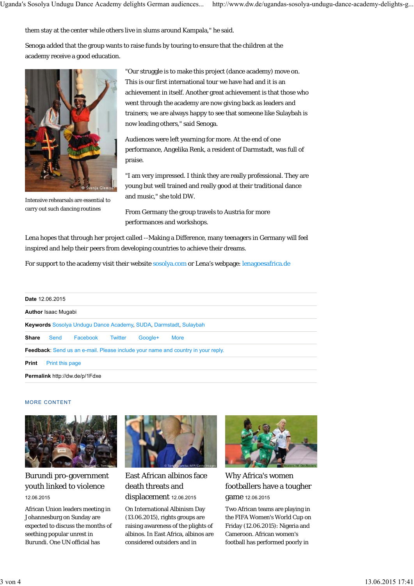them stay at the center while others live in slums around Kampala," he said.

Senoga added that the group wants to raise funds by touring to ensure that the children at the academy receive a good education.



Intensive rehearsals are essential to carry out such dancing routines

"Our struggle is to make this project (dance academy) move on. This is our first international tour we have had and it is an achievement in itself. Another great achievement is that those who went through the academy are now giving back as leaders and trainers; we are always happy to see that someone like Sulaybah is now leading others," said Senoga.

Audiences were left yearning for more. At the end of one performance, Angelika Renk, a resident of Darmstadt, was full of praise.

"I am very impressed. I think they are really professional. They are young but well trained and really good at their traditional dance and music," she told DW.

From Germany the group travels to Austria for more performances and workshops.

Lena hopes that through her project called --Making a Difference, many teenagers in Germany will feel inspired and help their peers from developing countries to achieve their dreams.

For support to the academy visit their website sosolya.com or Lena's webpage: lenagoesafrica.de

|       | Date 12.06.2015            |                                       |         |         |                                                                                         |
|-------|----------------------------|---------------------------------------|---------|---------|-----------------------------------------------------------------------------------------|
|       | <b>Author Isaac Mugabi</b> |                                       |         |         |                                                                                         |
|       |                            |                                       |         |         | <b>Keywords</b> Sosolya Undugu Dance Academy, SUDA, Darmstadt, Sulaybah                 |
| Share | Send                       | Facebook                              | Twitter | Google+ | <b>More</b>                                                                             |
|       |                            |                                       |         |         | <b>Feedback:</b> Send us an e-mail. Please include your name and country in your reply. |
| Print | Print this page            |                                       |         |         |                                                                                         |
|       |                            | <b>Permalink http://dw.de/p/1Fdxe</b> |         |         |                                                                                         |

#### MORE CONTENT



## Burundi pro-government youth linked to violence 12.06.2015

African Union leaders meeting in Johannesburg on Sunday are expected to discuss the months of seething popular unrest in Burundi. One UN official has



East African albinos face death threats and displacement 12.06.2015

On International Albinism Day (13.06.2015), rights groups are raising awareness of the plights of albinos. In East Africa, albinos are considered outsiders and in



Why Africa's women footballers have a tougher game 12.06.2015

Two African teams are playing in the FIFA Women's World Cup on Friday (12.06.2015): Nigeria and Cameroon. African women's football has performed poorly in